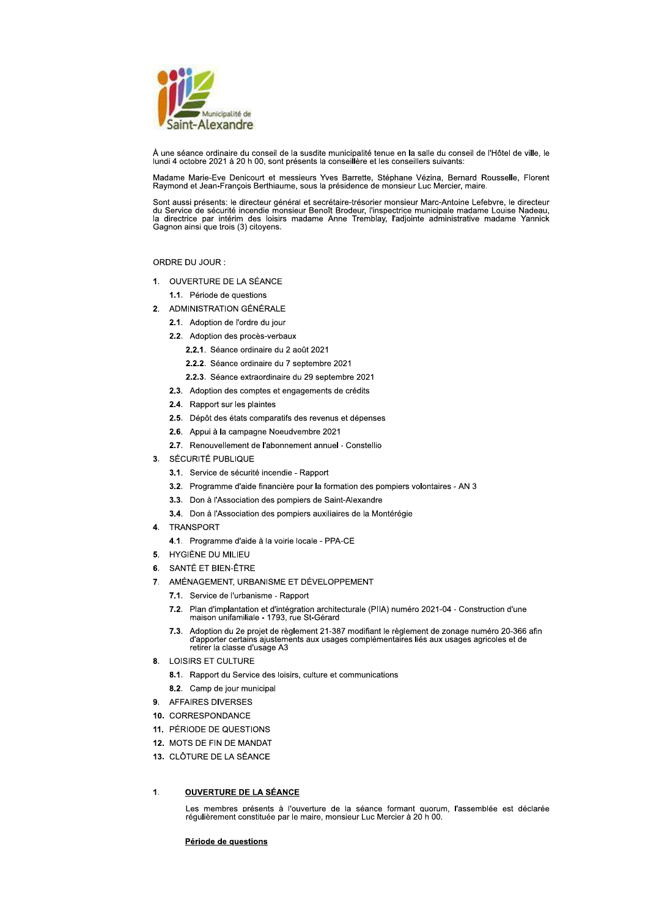

À une séance ordinaire du conseil de la susdite municipalité tenue en la salle du conseil de l'Hôtel de ville, le lundi 4 octobre 2021 à 20 h 00, sont présents la conseillère et les conseillers suivants:

Madame Marie-Eve Denicourt et messieurs Yves Barrette, Stéphane Vézina, Bernard Rousselle, Florent Raymond et Jean-François Berthiaume, sous la présidence de monsieur Luc Mercier, maire.

Sont aussi présents: le directeur général et secrétaire-trésorier monsieur Marc-Antoine Lefebvre, le directeur du Service de sécurité incendie monsieur Benoît Brodeur, l'inspectrice municipale madame Louise Nadeau, la directrice par intérim des loisirs madame Anne Tremblay, l'adjointe administrative madame Yannick<br>Gagnon ainsi que trois (3) citoyens.

ORDRE DU JOUR :

- 1. OUVERTURE DE LA SÉANCE
	- 1.1. Période de questions
- 2. ADMINISTRATION GÉNÉRALE
	- 2.1. Adoption de l'ordre du jour
	- 2.2. Adoption des procès-verbaux
		- 2.2.1. Séance ordinaire du 2 août 2021
		- 2.2.2. Séance ordinaire du 7 septembre 2021
		- 2.2.3. Séance extraordinaire du 29 septembre 2021
	- 2.3. Adoption des comptes et engagements de crédits
	- 2.4. Rapport sur les plaintes
	- 2.5. Dépôt des états comparatifs des revenus et dépenses
	- 2.6. Appui à la campagne Noeudvembre 2021
	- 2.7. Renouvellement de l'abonnement annuel Constellio
- 3. SÉCURITÉ PUBLIQUE
	- 3.1. Service de sécurité incendie Rapport
	- 3.2. Programme d'aide financière pour la formation des pompiers volontaires AN 3
	- 3.3. Don à l'Association des pompiers de Saint-Alexandre
	- 3.4. Don à l'Association des pompiers auxiliaires de la Montérégie
- 4. TRANSPORT
	- 4.1. Programme d'aide à la voirie locale PPA-CE
- 5. HYGIÈNE DU MILIEU
- 6. SANTÉ ET BIEN-ÊTRE
- 7. AMÉNAGEMENT, URBANISME ET DÉVELOPPEMENT
	- 7.1. Service de l'urbanisme Rapport
	- 7.2. Plan d'implantation et d'intégration architecturale (PIIA) numéro 2021-04 Construction d'une maison unifamiliale 1793, rue St-Gérard
	- 7.3. Adoption du 2e projet de règlement 21-387 modifiant le règlement de zonage numéro 20-366 afin<br>d'apporter certains ajustements aux usages complémentaires liés aux usages agricoles et de retirer la classe d'usage A3
- 8. LOISIRS ET CULTURE
	- 8.1. Rapport du Service des loisirs, culture et communications
	- 8.2. Camp de jour municipal
- 9. AFFAIRES DIVERSES
- 10. CORRESPONDANCE
- 11. PÉRIODE DE QUESTIONS
- 12. MOTS DE FIN DE MANDAT
- 13. CLÔTURE DE LA SÉANCE
- $\overline{1}$ . **OUVERTURE DE LA SÉANCE**

Les membres présents à l'ouverture de la séance formant quorum, l'assemblée est déclarée<br>régulièrement constituée par le maire, monsieur Luc Mercier à 20 h 00.

# Période de questions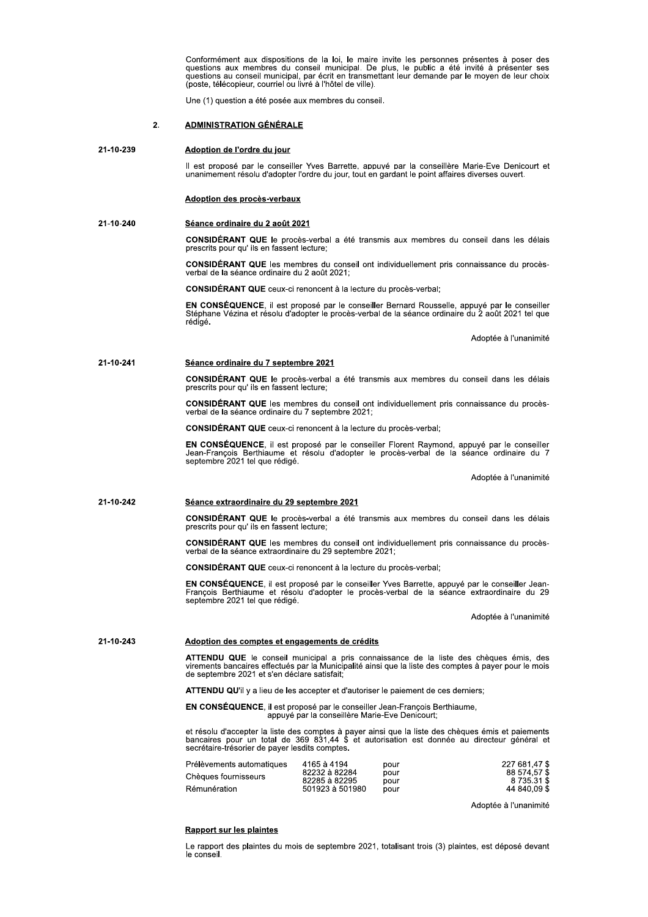Conformement aux dispositions de la loi, le maire invite les personnes presentes a poser des<br>questions aux membres du conseil municipal. De plus, le public a été invité à présenter ses<br>questions au conseil municipal, par é Conformément aux dispositions de<br>
questions aux membres du conseil<br>
questions au conseil municipal, par é<br>
(poste, télécopieur, courriel ou livré à l<br>
Une (1) question a été posée aux mer<br>
2. ADMINISTRATION GÉNÉRALE<br>
239 A

(poste, telecopieur, courriel ou livre a l'notel de ville).<br>Une (1) question a été posée aux membres du conseil.

<u>Adoption de l'ordre du jour</u><br>Il est proposé par le conseiller Yves Barrette, appuvé par la conseillère Marie-Eve Denicourt et<br>unanimement résolu d'adopter l'ordre du jour, tout en gardant le point affaires diverses ouvert unanimement resolu d'adopter l'ordre du jour, tout en gardant le point affail

## 21-10-240 Séance ordinaire du 2 août 2021

I a ete transmis aux membres du conseil dans les delais prescrits pour qu'ils en fassent

CONSIDERANT QUE les membres du conseil ont individuellement pris connaissance du proces-<br>verbal de la séance ordinaire du 2 août 2021;

oncent a la lecture du proces-verbal;

Il est proposé par le conseiller Yves B<br>unanimement résolu d'adopter l'ordre du<br>**Adoption des procès-verbaux**<br>**40**<br>**Séance ordinaire du 2 août 2021<br><b>CONSIDÉRANT QUE** le procès-verbal<br>prescrits pour qu' ils en fassent lectu Adoption des procès-verbaux<br>
Séance ordinaire du 2 août 2021<br>
CONSIDÉRANT QUE le procès-verbal a ét<br>
prescrits pour qu' ils en fassent lecture;<br>
CONSIDÉRANT QUE les membres du cons<br>
verbal de la séance ordinaire du 2 août Séance ordinaire du 2 août 2021<br>
CONSIDÉRANT QUE le procès-verbal a été<br>
prescrits pour qu'ils en fassent lecture;<br>
CONSIDÉRANT QUE les membres du conse<br>
verbal de la séance ordinaire du 2 août 2021;<br>
CONSIDÉRANT QUE ceux-EN CONSEQUENCE, Il est propose par le conseiller Bernard Rousseile, appuye par le conseiller  $\frac{1}{2}$ cepnane Vezina et resolu d'adopter le proces-verbal de la seance ordinaire du 2 aout 2021 tel que rédiaé. **EN CONSÉQUENCE**, il est proposé pa<br>Stéphane Vézina et résolu d'adopter le p<br>rédigé.<br>**Séance ordinaire du 7 septembre 2021**<br>**CONSIDÉRANT QUE** le procès-verbal<br>prescrits pour qu' ils en fassent lecture;<br>**CONSIDÉRANT QUE** le

Adoptee a l'unanimite

# 21-10-241 Séance ordinaire du 7 septembre 2021

i a ete transmis aux membres du conseil dans les delais prescrits pour qu'ils en fassent

sell ont individuellement pris connaissance du procesverbal de la seance ordinali

oncent a la lecture du proces-verbal;

Séance ordinaire du 7 septembre 2021<br>
CONSIDÉRANT QUE le procès-verbal a ét<br>
prescrits pour qu'ils en fassent lecture;<br>
CONSIDÉRANT QUE les membres du cons<br>
verbal de la séance ordinaire du 7 septembre<br>
CONSIDÉRANT QUE ceu Séance ordinaire du 7 septembre 2021<br>
CONSIDÉRANT QUE le procès-verbal a été transi<br>
prescrits pour qu'ils en fassent lecture;<br>
CONSIDÉRANT QUE les membres du conseil ont i<br>
verbal de la séance ordinaire du 7 septembre 202 EN CONSEQUENCE, il est propose par le consellier Florent Raymond, appuye par le consellier<br>Jean-François Berthiaume et résolu d'adopter le procès-verbal de la séance ordinaire du 7<br>septembre 2021 tel que rédigé. **EN CONSÉQUENCE**, il est proposé pa<br>
Jean-François Berthiaume et résolu d<br>
septembre 2021 tel que rédigé.<br> **Séance extraordinaire du 29 septembre CONSIDÉRANT QUE** le procès-verbal<br>
prescrits pour qu'ils en fassent lecture;

Adoptee a runanimite

# 21-10-242 Séance extraordinaire du 29 septembre 2021

**CONSIDERANT QUE** le proces-verbal a eté transmis aux membres du conseil dans les delais<br>prescrits pour qu'ils en fassent lecture; rassent

CONSIDERANT QUE les membres du conseil ont individuellement pris connaissance du proces-<br>verbal de la séance extraordinaire du 29 septembre 2021;

oncent a la lecture du proces-verbal;

Séance extraordinaire du 29 septembre 20:<br>
CONSIDÉRANT QUE le procès-verbal a ét<br>
prescrits pour qu'ils en fassent lecture;<br>
CONSIDÉRANT QUE les membres du cons<br>
verbal de la séance extraordinaire du 29 sept<br>
CONSIDÉRANT Q Séance extraordinaire du 29 septembre 2021<br>
CONSIDÉRANT QUE le procès-verbal a été transmis au<br>
prescrits pour qu'ils en fassent lecture;<br>
CONSIDÉRANT QUE les membres du conseil ont individ<br>
verbal de la séance extraordina **EN CONSEQUENCE**, il est propose par le consellier Yves Barrette, appuye par le consellier Jean-<br>François Berthiaume et résolu d'adopter le procès-verbal de la séance extraordinaire du 29<br>septembre 2021 tel que rédigé.

Adoptee a runanimite

## 21-10-243 Adoption des comptes et engagements de crédits

ATTENDU QUE le conseil municipal a pris connaissance de la liste des cheques emis, des<br>virements bancaires effectués par la Municipalité ainsi que la liste des comptes à payer pour le mois<br>de septembre 2021 et s'en déclare

ATTENDU QU'il y a lieu de les accepter et d'autoriser le palement de ces derniers;

EN CONSEQUENCE, Il est propose par le conseiller Jean-François Berthlaume, apang pangalang pangangang pangangang pangangang pangangang pangangang pangangang pangangang pangang pangang pa ppuye par la conselliere Marie-Eve Denicourt;

et resolu d'accepter la liste des comptes à payer ainsi que la liste des cheques emis et palements<br>bancaires pour un total de 369 831,44 \$ et autorisation est donnée au directeur général et<br>secrétaire-trésorier de payer le

| Prélèvements automatiques | 4165 à 4194     | pour | 227 681.47 \$ |
|---------------------------|-----------------|------|---------------|
| Chèques fournisseurs      | 82232 à 82284   | pour | 88 574.57 \$  |
|                           | 82285 à 82295   | pour | 8 735.31 \$   |
| Rémunération              | 501923 à 501980 | pour | 44 840.09 \$  |

Adoptee a l'unanimite

<u>Rapport sur les plaintes</u><br>Le rapport des plaintes du mois de septembre 2021, totalisant trois (3) plaintes, est déposé devant<br>le conseil. le conseil.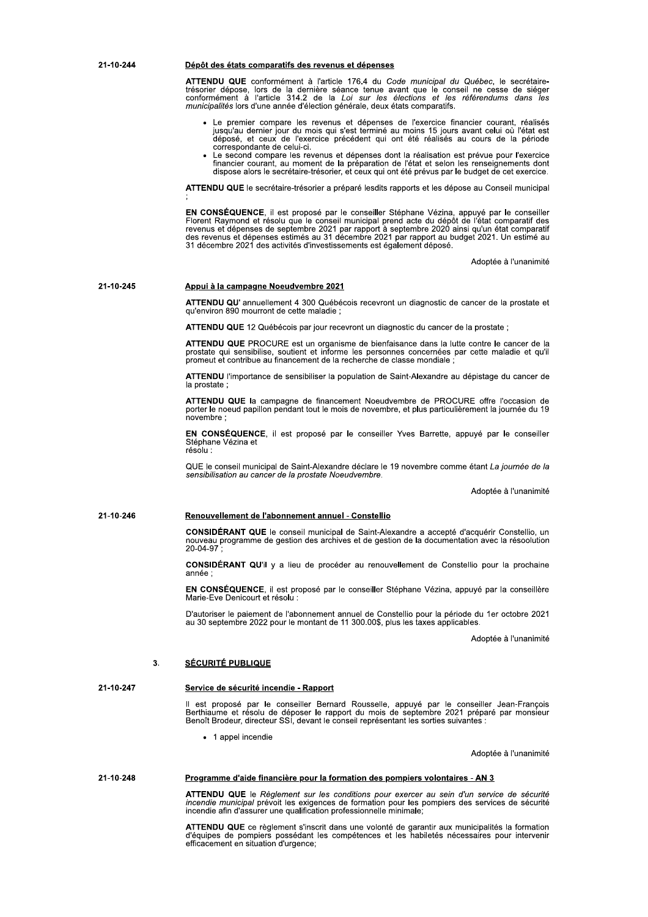| 21-10-244 | Dépôt des états comparatifs des revenus et dépenses                                                                                                                                                                                                                                                                                                                                                                                                                               |
|-----------|-----------------------------------------------------------------------------------------------------------------------------------------------------------------------------------------------------------------------------------------------------------------------------------------------------------------------------------------------------------------------------------------------------------------------------------------------------------------------------------|
|           | <b>ATTENDU QUE</b> conformément à l'article 176.4 du Code municipal du Québec, le secrétaire-<br>trésorier dépose, lors de la dernière séance tenue avant que le conseil ne cesse de siéger<br>conformément à l'article 314.2 de la Loi sur les élections et les référendums dans les<br>municipalités lors d'une année d'élection générale, deux états comparatifs.                                                                                                              |
|           | • Le premier compare les revenus et dépenses de l'exercice financier courant, réalisés<br>jusqu'au dernier jour du mois qui s'est terminé au moins 15 jours avant celui où l'état est<br>déposé, et ceux de l'exercice précédent qui ont été réalisés au cours de la période<br>correspondante de celui-ci.                                                                                                                                                                       |
|           | • Le second compare les revenus et dépenses dont la réalisation est prévue pour l'exercice<br>financier courant, au moment de la préparation de l'état et selon les renseignements dont<br>dispose alors le secrétaire-trésorier, et ceux qui ont été prévus par le budget de cet exercice.                                                                                                                                                                                       |
|           | <b>ATTENDU QUE</b> le secrétaire-trésorier a préparé lesdits rapports et les dépose au Conseil municipal                                                                                                                                                                                                                                                                                                                                                                          |
|           | <b>EN CONSEQUENCE</b> , il est proposé par le conseiller Stéphane Vézina, appuyé par le conseiller<br>Florent Raymond et résolu que le conseil municipal prend acte du dépôt de l'état comparatif des<br>revenus et dépenses de septembre 2021 par rapport à septembre 2020 ainsi qu'un état comparatif<br>des revenus et dépenses estimés au 31 décembre 2021 par rapport au budget 2021. Un estimé au<br>31 décembre 2021 des activités d'investissements est également déposé. |
|           | Adoptée à l'unanimité                                                                                                                                                                                                                                                                                                                                                                                                                                                             |
| 21-10-245 | <u>Appui à la campagne Noeudvembre 2021</u>                                                                                                                                                                                                                                                                                                                                                                                                                                       |
|           | <b>ATTENDU QU'</b> annuellement 4 300 Québécois recevront un diagnostic de cancer de la prostate et<br>qu'environ 890 mourront de cette maladie :                                                                                                                                                                                                                                                                                                                                 |
|           | <b>ATTENDU QUE</b> 12 Québécois par jour recevront un diagnostic du cancer de la prostate ;                                                                                                                                                                                                                                                                                                                                                                                       |
|           | <b>ATTENDU QUE</b> PROCURE est un organisme de bienfaisance dans la lutte contre le cancer de la<br>prostate qui sensibilise, soutient et informe les personnes concernées par cette maladie et qu'il<br>promeut et contribue au financement de la recherche de classe mondiale :                                                                                                                                                                                                 |
|           | <b>ATTENDU</b> l'importance de sensibiliser la population de Saint-Alexandre au dépistage du cancer de<br>la prostate;                                                                                                                                                                                                                                                                                                                                                            |
|           | ATTENDU QUE la campagne de financement Noeudvembre de PROCURE offre l'occasion de<br>porter le noeud papillon pendant tout le mois de novembre, et plus particulièrement la journée du 19<br>novembre ;                                                                                                                                                                                                                                                                           |
|           | <b>EN CONSÉQUENCE</b> , il est proposé par le conseiller Yves Barrette, appuyé par le conseiller<br>Stéphane Vézina et<br>résolu :                                                                                                                                                                                                                                                                                                                                                |
|           | QUE le conseil municipal de Saint-Alexandre déclare le 19 novembre comme étant La journée de la<br>sensibilisation au cancer de la prostate Noeudvembre.                                                                                                                                                                                                                                                                                                                          |
|           | Adoptée à l'unanimité                                                                                                                                                                                                                                                                                                                                                                                                                                                             |
| 21-10-246 | Renouvellement de l'abonnement annuel - Constellio                                                                                                                                                                                                                                                                                                                                                                                                                                |
|           | <b>CONSIDERANT QUE</b> le conseil municipal de Saint-Alexandre a accepté d'acquérir Constellio, un<br>nouveau programme de gestion des archives et de gestion de la documentation avec la résoolution<br>20-04-97;                                                                                                                                                                                                                                                                |
|           | <b>CONSIDERANT QU'il</b> y a lieu de procéder au renouvellement de Constellio pour la prochaine<br>année ;                                                                                                                                                                                                                                                                                                                                                                        |
|           | <b>EN CONSEQUENCE</b> , il est proposé par le conseiller Stéphane Vézina, appuyé par la conseillère<br>Marie-Eve Denicourt et résolu :                                                                                                                                                                                                                                                                                                                                            |
|           | D'autoriser le paiement de l'abonnement annuel de Constellio pour la période du 1er octobre 2021<br>au 30 septembre 2022 pour le montant de 11 300.00\$, plus les taxes applicables.                                                                                                                                                                                                                                                                                              |
|           | Adoptée à l'unanimité                                                                                                                                                                                                                                                                                                                                                                                                                                                             |
| 3.        | <b>SÉCURITÉ PUBLIQUE</b>                                                                                                                                                                                                                                                                                                                                                                                                                                                          |
| 21-10-247 | Service de sécurité incendie - Rapport                                                                                                                                                                                                                                                                                                                                                                                                                                            |
|           | Il est proposé par le conseiller Bernard Rousselle, appuyé par le conseiller Jean-François<br>Berthiaume et résolu de déposer le rapport du mois de septembre 2021 préparé par monsieur<br>Benoît Brodeur, directeur SSI, devant le conseil représentant les sorties suivantes :                                                                                                                                                                                                  |
|           | • 1 appel incendie                                                                                                                                                                                                                                                                                                                                                                                                                                                                |
|           | Adoptée à l'unanimité                                                                                                                                                                                                                                                                                                                                                                                                                                                             |
| 21-10-248 | <u>Programme d'aide financière pour la formation des pompiers volontaires - AN 3</u>                                                                                                                                                                                                                                                                                                                                                                                              |
|           | <b>ATTENDU QUE</b> le Règlement sur les conditions pour exercer au sein d'un service de sécurité<br>incendie municipal prévoit les exigences de formation pour les pompiers des services de sécurité<br>incendie afin d'assurer une qualification professionnelle minimale;                                                                                                                                                                                                       |
|           | <b>ATTENDU QUE</b> ce règlement s'inscrit dans une volonté de garantir aux municipalités la formation<br>d'équipes de pompiers possédant les compétences et les habiletés nécessaires pour intervenir<br>efficacement en situation d'urgence;                                                                                                                                                                                                                                     |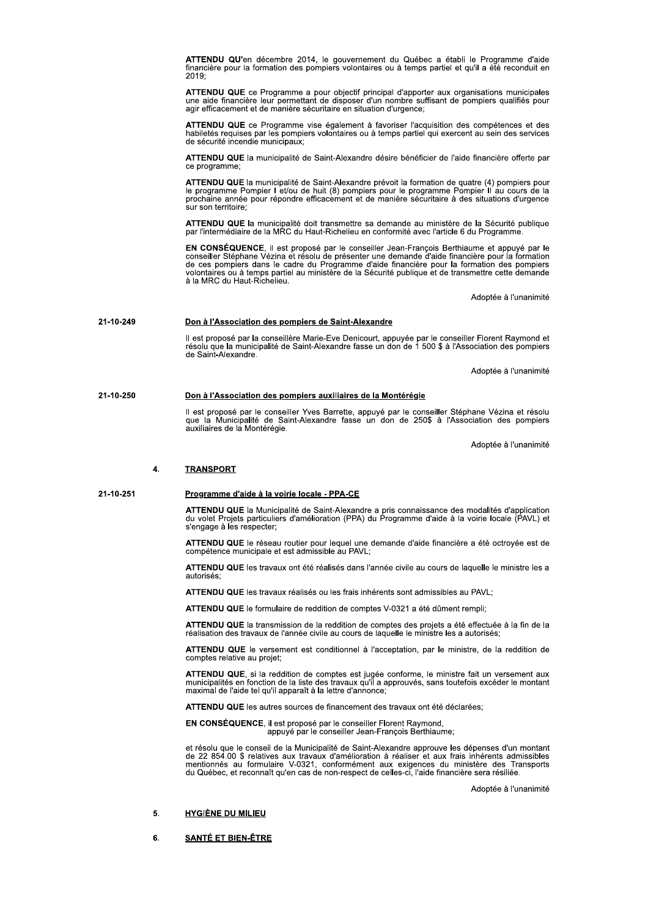ATTENDU QU'en décembre 2014, le gouvernement du Québec a établi le Programme d'aide<br>financière pour la formation des pompiers volontaires ou à temps partiel et qu'il a été reconduit en  $2019$ 

ATTENDU QUE ce Programme a pour objectif principal d'apporter aux organisations municipales une aide financière leur permettant de disposer d'un nombre suffisant de pompiers qualifiés pour agir efficacement et de manière sécuritaire en situation d'urgence;

ATTENDU QUE ce Programme vise également à favoriser l'acquisition des compétences et des habiletés requises par les pompiers volontaires ou à temps partiel qui exercent au sein des services<br>de sécurité incendie municipaux:

ATTENDU QUE la municipalité de Saint-Alexandre désire bénéficier de l'aide financière offerte par ce programme;

ATTENDU QUE la municipalité de Saint-Alexandre prévoit la formation de quatre (4) pompiers pour le programme Pompier I et/ou de huit (8) pompiers pour le programme Pompier II au cours de la<br>prochaine année pour répondre ef sur son territoire;

ATTENDU QUE la municipalité doit transmettre sa demande au ministère de la Sécurité publique par l'intermédiaire de la MRC du Haut-Richelieu en conformité avec l'article 6 du Programme

EN CONSÉQUENCE, il est proposé par le conseiller Jean-François Berthiaume et appuyé par le conseiller Stéphane Vézina et résolu de présenter une demande d'aide financière pour la formation de ces pompiers dans le cadre du à la MRC du Haut-Richelieu.

Adoptée à l'unanimité

#### 21-10-249 Don à l'Association des pompiers de Saint-Alexandre

Il est proposé par la conseillère Marie-Eve Denicourt, appuyée par le conseiller Florent Raymond et<br>résolu que la municipalité de Saint-Alexandre fasse un don de 1 500 \$ à l'Association des pompiers de Saint-Alexandre.

Adoptée à l'unanimité

#### 21-10-250 Don à l'Association des pompiers auxiliaires de la Montérégie

Il est proposé par le conseiller Yves Barrette, appuyé par le conseiller Stéphane Vézina et résolu<br>que la Municipalité de Saint-Alexandre fasse un don de 250\$ à l'Association des pompiers auxiliaires de la Montérégie.

Adoptée à l'unanimité

#### $\blacktriangle$ **TRANSPORT**

#### 21-10-251 Programme d'aide à la voirie locale - PPA-CE

ATTENDU QUE la Municipalité de Saint-Alexandre a pris connaissance des modalités d'application<br>du volet Projets particuliers d'amélioration (PPA) du Programme d'aide à la voirie locale (PAVL) et s'engage à les respecter:

ATTENDU QUE le réseau routier pour lequel une demande d'aide financière a été octroyée est de compétence municipale et est admissible au PAVL;

ATTENDU QUE les travaux ont été réalisés dans l'année civile au cours de laquelle le ministre les a autorisés

ATTENDU QUE les travaux réalisés ou les frais inhérents sont admissibles au PAVL;

ATTENDU QUE le formulaire de reddition de comptes V-0321 a été dûment rempli;

ATTENDU QUE la transmission de la reddition de comptes des projets a été effectuée à la fin de la<br>réalisation des travaux de l'année civile au cours de laquelle le ministre les a autorisés;

ATTENDU QUE le versement est conditionnel à l'acceptation, par le ministre, de la reddition de comptes relative au projet:

ATTENDU QUE, si la reddition de comptes est jugée conforme, le ministre fait un versement aux municipalités en fonction de la liste des travaux qu'il a approuvés, sans toutefois excéder le montant maximal de l'aide tel qu'il apparaît à la lettre d'annonce;

ATTENDU QUE les autres sources de financement des travaux ont été déclarées:

EN CONSÉQUENCE, il est proposé par le conseiller Florent Raymond,<br>appuyé par le conseiller Jean-François Berthiaume;

et résolu que le conseil de la Municipalité de Saint-Alexandre approuve les dépenses d'un montant de 22 854.00 \$ relatives aux travaux d'amélioration à réaliser et aux frais inhérents admissibles mentionnés au formulaire V

Adoptée à l'unanimité

#### 5. **HYGIÈNE DU MILIEU**

### 6. **SANTÉ ET BIEN-ÊTRE**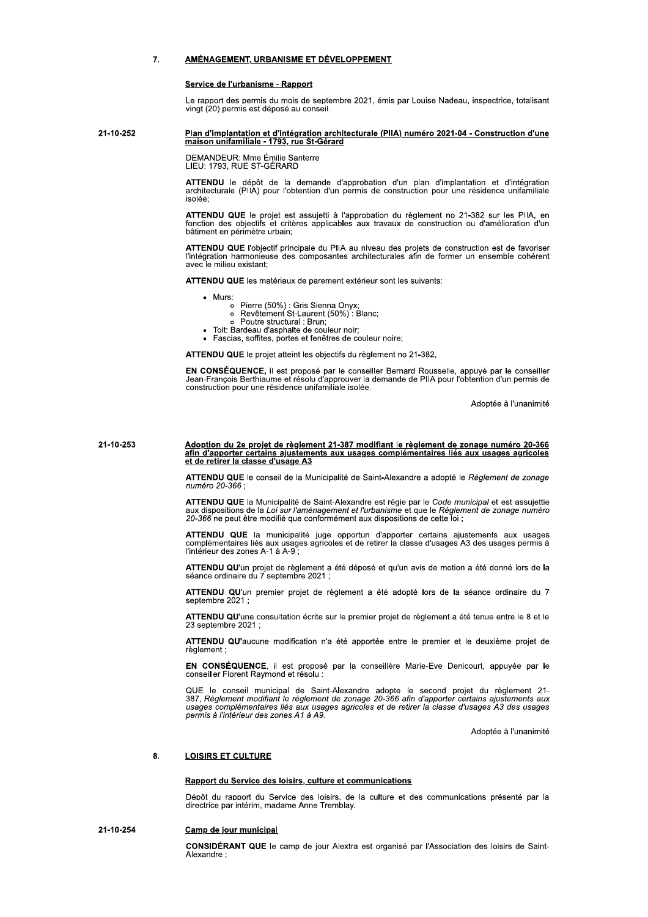#### $\overline{7}$ AMÉNAGEMENT, URBANISME ET DÉVELOPPEMENT

### Service de l'urbanisme - Rapport

Le rapport des permis du mois de septembre 2021, émis par Louise Nadeau, inspectrice, totalisant vingt (20) permis est déposé au conseil.

### 21-10-252 Plan d'implantation et d'intégration architecturale (PIIA) numéro 2021-04 - Construction d'une maison unifamiliale - 1793, rue St-Gérard

DEMANDEUR: Mme Émilie Santerre<br>LIEU: 1793. RUE ST-GÉRARD

ATTENDU le dépôt de la demande d'approbation d'un plan d'implantation et d'intégration<br>architecturale (PIIA) pour l'obtention d'un permis de construction pour une résidence unifamiliale isolée:

ATTENDU QUE le projet est assujetti à l'approbation du règlement no 21-382 sur les PIIA, en<br>fonction des objectifs et critères applicables aux travaux de construction ou d'amélioration d'un bâtiment en périmètre urbain;

ATTENDU QUE l'objectif principale du PIIA au niveau des projets de construction est de favoriser l'intégration harmonieuse des composantes architecturales afin de former un ensemble cohérent avec le milieu existant:

ATTENDU QUE les matériaux de parement extérieur sont les suivants:

- Murs:
	- Container (50%) : Gris Sienna Onyx;<br>
	 Revêtement St-Laurent (50%) : Blanc;<br>
	 Poutre structural : Brun;
	-
	- Toit: Bardeau d'asphalte de couleur noir;
- · Fascias, soffites, portes et fenêtres de couleur noire;

ATTENDU QUE le projet atteint les objectifs du règlement no 21-382,

EN CONSÉQUENCE, il est proposé par le conseiller Bernard Rousselle, appuyé par le conseiller<br>Jean-François Berthiaume et résolu d'approuver la demande de PIIA pour l'obtention d'un permis de construction pour une résidence unifamiliale isolée.

Adoptée à l'unanimité

### 21-10-253 Adoption du 2e projet de règlement 21-387 modifiant le règlement de zonage numéro 20-366 <u>afin d'apporter certains ajustements aux usages complémentaires liés aux usages agricoles</u><br>et de retirer la classe d'usage A3

ATTENDU QUE le conseil de la Municipalité de Saint-Alexandre a adopté le Réglement de zonage numéro 20-366 :

ATTENDU QUE la Municipalité de Saint-Alexandre est régie par le Code municipal et est assujettie<br>aux dispositions de la Loi sur l'aménagement et l'urbanisme et que le Règlement de zonage numéro 20-366 ne peut être modifié que conformément aux dispositions de cette loi :

ATTENDU QUE la municipalité juge opportun d'apporter certains ajustements aux usages complémentaires liés aux usages agricoles et de retirer la classe d'usages A3 des usages permis à<br>l'intérieur des zones A-1 à A-9 ;

ATTENDU QU'un projet de règlement a été déposé et qu'un avis de motion a été donné lors de la séance ordinaire du 7 septembre 2021 :

ATTENDU QU'un premier projet de règlement a été adopté lors de la séance ordinaire du 7 septembre 2021

ATTENDU QU'une consultation écrite sur le premier projet de règlement a été tenue entre le 8 et le 23 septembre 2021;

ATTENDU QU'aucune modification n'a été apportée entre le premier et le deuxième projet de règlement

EN CONSÉQUENCE, il est proposé par la conseillère Marie-Eve Denicourt, appuyée par le conseiller Florent Raymond et résolu :

QUE le conseil municipal de Saint-Alexandre adopte le second projet du règlement 21-<br>387, Règlement modifiant le règlement de zonage 20-366 afin d'apporter certains ajustements aux<br>usages complémentaires liés aux usages ag permis à l'intérieur des zones A1 à A9.

Adoptée à l'unanimité

#### 8. **LOISIRS ET CULTURE**

# Rapport du Service des loisirs, culture et communications

Dépôt du rapport du Service des loisirs, de la culture et des communications présenté par la directrice par intérim, madame Anne Tremblay.

#### 21-10-254 Camp de jour municipal

CONSIDÉRANT QUE le camp de jour Alextra est organisé par l'Association des loisirs de Saint-Alexandre: